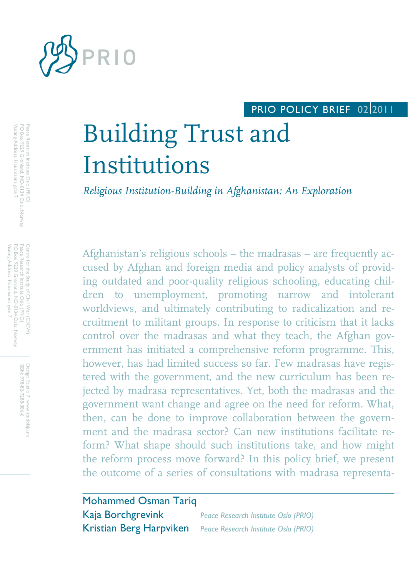

# PRIO POLICY BRIEF 02 2011

# Building Trust and Institutions

*Religious Institution-Building in Afghanistan: An Exploration*

Afghanistan's religious schools – the madrasas – are frequently accused by Afghan and foreign media and policy analysts of providing outdated and poor-quality religious schooling, educating children to unemployment, promoting narrow and intolerant worldviews, and ultimately contributing to radicalization and recruitment to militant groups. In response to criticism that it lacks control over the madrasas and what they teach, the Afghan government has initiated a comprehensive reform programme. This, however, has had limited success so far. Few madrasas have registered with the government, and the new curriculum has been rejected by madrasa representatives. Yet, both the madrasas and the government want change and agree on the need for reform. What, then, can be done to improve collaboration between the government and the madrasa sector? Can new institutions facilitate reform? What shape should such institutions take, and how might the reform process move forward? In this policy brief, we present the outcome of a series of consultations with madrasa representa-

| <b>Mohammed Osman Tariq</b> |                                                              |
|-----------------------------|--------------------------------------------------------------|
| Kaja Borchgrevink           | <b>Peace Research Institute Oslo (PRIO)</b>                  |
|                             | Kristian Berg Harpviken Peace Research Institute Oslo (PRIO) |

Visiting Address: Hausmanns gate 7 PO Box 9229 Grønland, NO-0134 Oslo, Norway Visiting Address: Hausmanns gate 7 PO Box 9229 Grønland, NO-0134 Oslo, Norway Peace Research Institute Oslo (PRIO) Peace Research Institute Oslo (PRIO)

Visiting Address: Hausmanns gate 7 PO Box 9229 Grønland, NO-0134 Oslo, Norway Peace Research Institute Oslo (PRIO)<br>Peace Research Institute Oslo (PRIO) Peace Research Institute Oslo (PRIO) Centre for the Study of Civil War (CSCW) PO Box 9229 Grønland, NO-0134 Oslo, Norway Contre for the Study of Civil War (CSCW) isiting Address: Hausmanns gate /

> Design: Studio 7 www.studoisju.no<br>ISBN: 978-82-7288-386-6 ISBN: 978-82-7288-386-6 Design: Studio 7 www.studoisju.no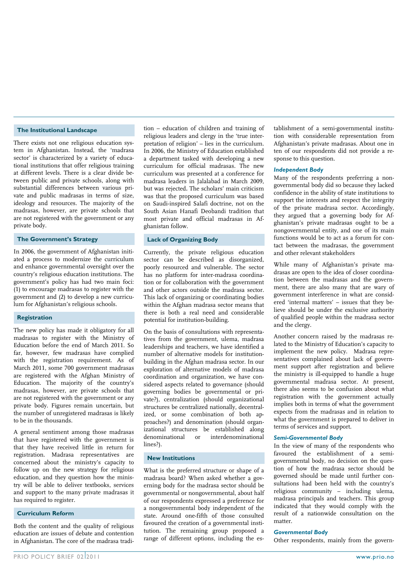#### **The Institutional Landscape**

There exists not one religious education system in Afghanistan. Instead, the 'madrasa sector' is characterized by a variety of educational institutions that offer religious training at different levels. There is a clear divide between public and private schools, along with substantial differences between various private and public madrasas in terms of size, ideology and resources. The majority of the madrasas, however, are private schools that are not registered with the government or any private body.

### **The Government's Strategy**

In 2006, the government of Afghanistan initiated a process to modernize the curriculum and enhance governmental oversight over the country's religious education institutions. The government's policy has had two main foci: (1) to encourage madrasas to register with the government and (2) to develop a new curriculum for Afghanistan's religious schools.

#### **Registration**

The new policy has made it obligatory for all madrasas to register with the Ministry of Education before the end of March 2011. So far, however, few madrasas have complied with the registration requirement. As of March 2011, some 700 government madrasas are registered with the Afghan Ministry of Education. The majority of the country's madrasas, however, are private schools that are not registered with the government or any private body. Figures remain uncertain, but the number of unregistered madrasas is likely to be in the thousands.

A general sentiment among those madrasas that have registered with the government is that they have received little in return for registration. Madrasa representatives are concerned about the ministry's capacity to follow up on the new strategy for religious education, and they question how the ministry will be able to deliver textbooks, services and support to the many private madrasas it has required to register.

#### **Curriculum Reform**

Both the content and the quality of religious education are issues of debate and contention in Afghanistan. The core of the madrasa tradition – education of children and training of religious leaders and clergy in the 'true interpretation of religion' – lies in the curriculum. In 2006, the Ministry of Education established a department tasked with developing a new curriculum for official madrasas. The new curriculum was presented at a conference for madrasa leaders in Jalalabad in March 2009, but was rejected**.** The scholars' main criticism was that the proposed curriculum was based on Saudi-inspired Salafi doctrine, not on the South Asian Hanafi Deobandi tradition that most private and official madrasas in Afghanistan follow.

#### **Lack of Organizing Body**

Currently, the private religious education sector can be described as disorganized, poorly resourced and vulnerable. The sector has no platform for inter-madrasa coordination or for collaboration with the government and other actors outside the madrasa sector. This lack of organizing or coordinating bodies within the Afghan madrasa sector means that there is both a real need and considerable potential for institution-building.

On the basis of consultations with representatives from the government, ulema, madrasa leaderships and teachers, we have identified a number of alternative models for institutionbuilding in the Afghan madrasa sector. In our exploration of alternative models of madrasa coordination and organization, we have considered aspects related to governance (should governing bodies be governmental or private?), centralization (should organizational structures be centralized nationally, decentralized, or some combination of both approaches?) and denomination (should organizational structures be established along denominational or interdenominational lines?).

#### **New Institutions**

What is the preferred structure or shape of a madrasa board? When asked whether a governing body for the madrasa sector should be governmental or nongovernmental, about half of our respondents expressed a preference for a nongovernmental body independent of the state. Around one-fifth of those consulted favoured the creation of a governmental institution. The remaining group proposed a range of different options, including the es-

tablishment of a semi-governmental institution with considerable representation from Afghanistan's private madrasas. About one in ten of our respondents did not provide a response to this question.

#### *Independent Body*

Many of the respondents preferring a nongovernmental body did so because they lacked confidence in the ability of state institutions to support the interests and respect the integrity of the private madrasa sector. Accordingly, they argued that a governing body for Afghanistan's private madrasas ought to be a nongovernmental entity, and one of its main functions would be to act as a forum for contact between the madrasas, the government and other relevant stakeholders

While many of Afghanistan's private madrasas are open to the idea of closer coordination between the madrasas and the government, there are also many that are wary of government interference in what are considered 'internal matters' – issues that they believe should be under the exclusive authority of qualified people within the madrasa sector and the clergy.

Another concern raised by the madrasas related to the Ministry of Education's capacity to implement the new policy. Madrasa representatives complained about lack of government support after registration and believe the ministry is ill-equipped to handle a huge governmental madrasa sector. At present, there also seems to be confusion about what registration with the government actually implies both in terms of what the government expects from the madrasas and in relation to what the government is prepared to deliver in terms of services and support.

#### *Semi-Governmental Body*

In the view of many of the respondents who favoured the establishment of a semigovernmental body, no decision on the question of how the madrasa sector should be governed should be made until further consultations had been held with the country's religious community – including ulema, madrasa principals and teachers. This group indicated that they would comply with the result of a nationwide consultation on the matter.

#### *Governmental Body*

Other respondents, mainly from the govern-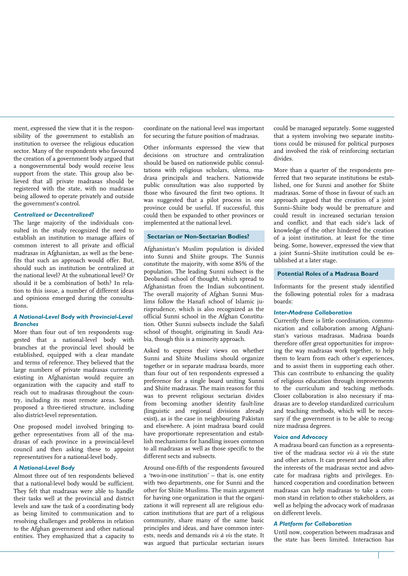ment, expressed the view that it is the responsibility of the government to establish an institution to oversee the religious education sector. Many of the respondents who favoured the creation of a government body argued that a nongovernmental body would receive less support from the state. This group also believed that all private madrasas should be registered with the state, with no madrasas being allowed to operate privately and outside the government's control.

#### *Centralized or Decentralized?*

The large majority of the individuals consulted in the study recognized the need to establish an institution to manage affairs of common interest to all private and official madrasas in Afghanistan, as well as the benefits that such an approach would offer. But, should such an institution be centralized at the national level? At the subnational level? Or should it be a combination of both? In relation to this issue, a number of different ideas and opinions emerged during the consultations.

#### *A National-Level Body with Provincial-Level Branches*

More than four out of ten respondents suggested that a national-level body with branches at the provincial level should be established, equipped with a clear mandate and terms of reference. They believed that the large numbers of private madrasas currently existing in Afghanistan would require an organization with the capacity and staff to reach out to madrasas throughout the country, including its most remote areas. Some proposed a three-tiered structure, including also district-level representation.

One proposed model involved bringing together representatives from all of the madrasas of each province in a provincial-level council and then asking these to appoint representatives for a national-level body.

#### *A National-Level Body*

Almost three out of ten respondents believed that a national-level body would be sufficient. They felt that madrasas were able to handle their tasks well at the provincial and district levels and saw the task of a coordinating body as being limited to communication and to resolving challenges and problems in relation to the Afghan government and other national entities. They emphasized that a capacity to

coordinate on the national level was important for securing the future position of madrasas.

Other informants expressed the view that decisions on structure and centralization should be based on nationwide public consultations with religious scholars, ulema, madrasa principals and teachers. Nationwide public consultation was also supported by those who favoured the first two options. It was suggested that a pilot process in one province could be useful. If successful, this could then be expanded to other provinces or implemented at the national level.

#### **Sectarian or Non-Sectarian Bodies?**

Afghanistan's Muslim population is divided into Sunni and Shiite groups. The Sunnis constitute the majority, with some 85% of the population. The leading Sunni subsect is the Deobandi school of thought, which spread to Afghanistan from the Indian subcontinent. The overall majority of Afghan Sunni Muslims follow the Hanafi school of Islamic jurisprudence, which is also recognized as the official Sunni school in the Afghan Constitution. Other Sunni subsects include the Salafi school of thought, originating in Saudi Arabia, though this is a minority approach.

Asked to express their views on whether Sunni and Shiite Muslims should organize together or in separate madrasa boards, more than four out of ten respondents expressed a preference for a single board uniting Sunni and Shiite madrasas. The main reason for this was to prevent religious sectarian divides from becoming another identity fault-line (linguistic and regional divisions already exist), as is the case in neighbouring Pakistan and elsewhere. A joint madrasa board could have proportionate representation and establish mechanisms for handling issues common to all madrasas as well as those specific to the different sects and subsects.

Around one-fifth of the respondents favoured a 'two-in-one institution' – that is, one entity with two departments, one for Sunni and the other for Shiite Muslims. The main argument for having one organization is that the organizations it will represent all are religious education institutions that are part of a religious community, share many of the same basic principles and ideas, and have common interests, needs and demands *vis à vis* the state. It was argued that particular sectarian issues could be managed separately. Some suggested that a system involving two separate institutions could be misused for political purposes and involved the risk of reinforcing sectarian divides.

More than a quarter of the respondents preferred that two separate institutions be established, one for Sunni and another for Shiite madrasas. Some of those in favour of such an approach argued that the creation of a joint Sunni–Shiite body would be premature and could result in increased sectarian tension and conflict, and that each side's lack of knowledge of the other hindered the creation of a joint institution, at least for the time being. Some, however, expressed the view that a joint Sunni–Shiite institution could be established at a later stage.

#### **Potential Roles of a Madrasa Board**

Informants for the present study identified the following potential roles for a madrasa boards:

#### *Inter-Madrasa Collaboration*

Currently there is little coordination, communication and collaboration among Afghanistan's various madrasas. Madrasa boards therefore offer great opportunities for improving the way madrasas work together, to help them to learn from each other's experiences, and to assist them in supporting each other. This can contribute to enhancing the quality of religious education through improvements to the curriculum and teaching methods. Closer collaboration is also necessary if madrasas are to develop standardized curriculum and teaching methods, which will be necessary if the government is to be able to recognize madrasa degrees.

#### *Voice and Advocacy*

A madrasa board can function as a representative of the madrasa sector *vis à vis* the state and other actors. It can present and look after the interests of the madrasas sector and advocate for madrasa rights and privileges. Enhanced cooperation and coordination between madrasas can help madrasas to take a common stand in relation to other stakeholders, as well as helping the advocacy work of madrasas on different levels.

#### *A Platform for Collaboration*

Until now, cooperation between madrasas and the state has been limited. Interaction has